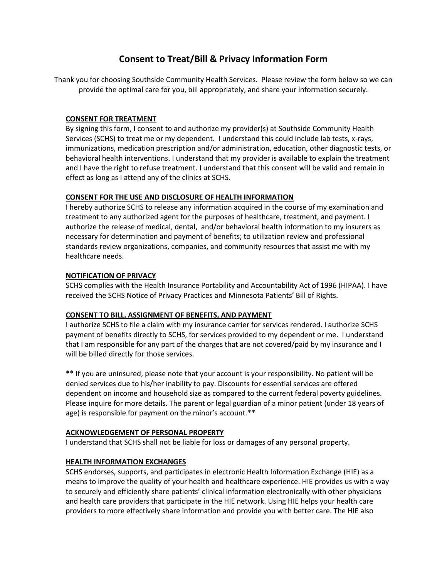# **Consent to Treat/Bill & Privacy Information Form**

Thank you for choosing Southside Community Health Services. Please review the form below so we can provide the optimal care for you, bill appropriately, and share your information securely.

## **CONSENT FOR TREATMENT**

By signing this form, I consent to and authorize my provider(s) at Southside Community Health Services (SCHS) to treat me or my dependent. I understand this could include lab tests, x-rays, immunizations, medication prescription and/or administration, education, other diagnostic tests, or behavioral health interventions. I understand that my provider is available to explain the treatment and I have the right to refuse treatment. I understand that this consent will be valid and remain in effect as long as I attend any of the clinics at SCHS.

## **CONSENT FOR THE USE AND DISCLOSURE OF HEALTH INFORMATION**

I hereby authorize SCHS to release any information acquired in the course of my examination and treatment to any authorized agent for the purposes of healthcare, treatment, and payment. I authorize the release of medical, dental, and/or behavioral health information to my insurers as necessary for determination and payment of benefits; to utilization review and professional standards review organizations, companies, and community resources that assist me with my healthcare needs.

## **NOTIFICATION OF PRIVACY**

SCHS complies with the Health Insurance Portability and Accountability Act of 1996 (HIPAA). I have received the SCHS Notice of Privacy Practices and Minnesota Patients' Bill of Rights.

# **CONSENT TO BILL, ASSIGNMENT OF BENEFITS, AND PAYMENT**

I authorize SCHS to file a claim with my insurance carrier for services rendered. I authorize SCHS payment of benefits directly to SCHS, for services provided to my dependent or me. I understand that I am responsible for any part of the charges that are not covered/paid by my insurance and I will be billed directly for those services.

\*\* If you are uninsured, please note that your account is your responsibility. No patient will be denied services due to his/her inability to pay. Discounts for essential services are offered dependent on income and household size as compared to the current federal poverty guidelines. Please inquire for more details. The parent or legal guardian of a minor patient (under 18 years of age) is responsible for payment on the minor's account.\*\*

#### **ACKNOWLEDGEMENT OF PERSONAL PROPERTY**

I understand that SCHS shall not be liable for loss or damages of any personal property.

# **HEALTH INFORMATION EXCHANGES**

SCHS endorses, supports, and participates in electronic Health Information Exchange (HIE) as a means to improve the quality of your health and healthcare experience. HIE provides us with a way to securely and efficiently share patients' clinical information electronically with other physicians and health care providers that participate in the HIE network. Using HIE helps your health care providers to more effectively share information and provide you with better care. The HIE also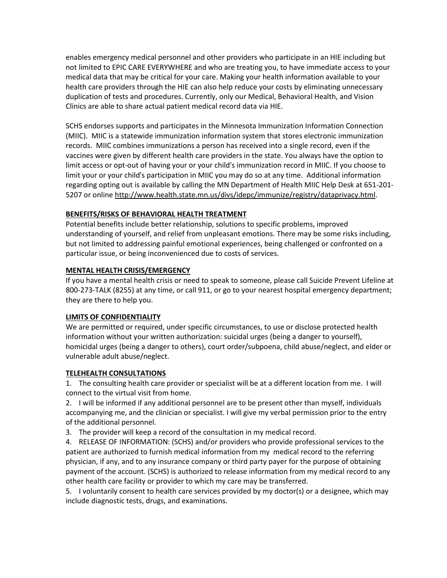enables emergency medical personnel and other providers who participate in an HIE including but not limited to EPIC CARE EVERYWHERE and who are treating you, to have immediate access to your medical data that may be critical for your care. Making your health information available to your health care providers through the HIE can also help reduce your costs by eliminating unnecessary duplication of tests and procedures. Currently, only our Medical, Behavioral Health, and Vision Clinics are able to share actual patient medical record data via HIE.

SCHS endorses supports and participates in the Minnesota Immunization Information Connection (MIIC). MIIC is a statewide immunization information system that stores electronic immunization records. MIIC combines immunizations a person has received into a single record, even if the vaccines were given by different health care providers in the state. You always have the option to limit access or opt-out of having your or your child's immunization record in MIIC. If you choose to limit your or your child's participation in MIIC you may do so at any time. Additional information regarding opting out is available by calling the MN Department of Health MIIC Help Desk at 651-201- 5207 or online [http://www.health.state.mn.us/divs/idepc/immunize/registry/dataprivacy.html.](http://www.health.state.mn.us/divs/idepc/immunize/registry/dataprivacy.html)

# **BENEFITS/RISKS OF BEHAVIORAL HEALTH TREATMENT**

Potential benefits include better relationship, solutions to specific problems, improved understanding of yourself, and relief from unpleasant emotions. There may be some risks including, but not limited to addressing painful emotional experiences, being challenged or confronted on a particular issue, or being inconvenienced due to costs of services.

## **MENTAL HEALTH CRISIS/EMERGENCY**

If you have a mental health crisis or need to speak to someone, please call Suicide Prevent Lifeline at 800-273-TALK (8255) at any time, or call 911, or go to your nearest hospital emergency department; they are there to help you.

#### **LIMITS OF CONFIDENTIALITY**

We are permitted or required, under specific circumstances, to use or disclose protected health information without your written authorization: suicidal urges (being a danger to yourself), homicidal urges (being a danger to others), court order/subpoena, child abuse/neglect, and elder or vulnerable adult abuse/neglect.

#### **TELEHEALTH CONSULTATIONS**

1. The consulting health care provider or specialist will be at a different location from me. I will connect to the virtual visit from home.

2. I will be informed if any additional personnel are to be present other than myself, individuals accompanying me, and the clinician or specialist. I will give my verbal permission prior to the entry of the additional personnel.

3. The provider will keep a record of the consultation in my medical record.

4. RELEASE OF INFORMATION: (SCHS) and/or providers who provide professional services to the patient are authorized to furnish medical information from my medical record to the referring physician, if any, and to any insurance company or third party payer for the purpose of obtaining payment of the account. (SCHS) is authorized to release information from my medical record to any other health care facility or provider to which my care may be transferred.

5. I voluntarily consent to health care services provided by my doctor(s) or a designee, which may include diagnostic tests, drugs, and examinations.